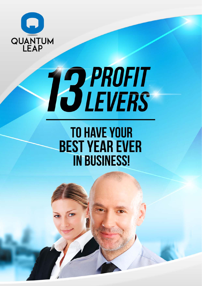

# **TO PROFIT**<br>IS LEVERS

# **TO HAVE YOUR BEST YEAR EVER IN BUSINESS!**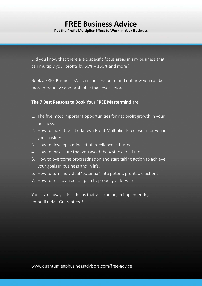### **FREE Business Advice Put the Profit Multiplier Effect to Work in Your Business**

Did you know that there are 5 specific focus areas in any business that can multiply your profits by  $60\% - 150\%$  and more?

Book a FREE Business Mastermind session to find out how you can be more productive and profitable than ever before.

### **The 7 Best Reasons to Book Your FREE Mastermind** are:

- 1. The five most important opportunities for net profit growth in your business.
- 2. How to make the little-known Profit Multiplier Effect work for you in your business.
- 3. How to develop a mindset of excellence in business.
- 4. How to make sure that you avoid the 4 steps to failure.
- 5. How to overcome procrastination and start taking action to achieve your goals in business and in life.
- 6. How to turn individual 'potential' into potent, profitable action!
- 7. How to set up an action plan to propel you forward.

You'll take away a list if ideas that you can begin implementing immediately… Guaranteed!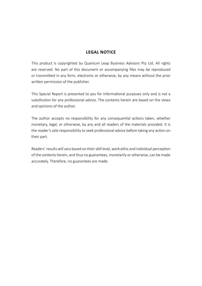### **LEGAL NOTICE**

This product is copyrighted by Quantum Leap Business Advisors Pty Ltd. All rights are reserved. No part of this document or accompanying files may be reproduced or transmitted in any form, electronic or otherwise, by any means without the prior written permission of the publisher.

This Special Report is presented to you for informational purposes only and is not a substitution for any professional advice. The contents herein are based on the views and opinions of the author.

The author accepts no responsibility for any consequential actions taken, whether monetary, legal, or otherwise, by any and all readers of the materials provided. It is the reader's sole responsibility to seek professional advice before taking any action on their part.

Readers' results will vary based on their skill level, work ethic and individual perception of the contents herein, and thus no guarantees, monetarily or otherwise, can be made accurately. Therefore, no guarantees are made.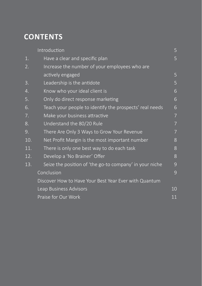# **CONTENTS**

|     | Introduction                                            | 5  |
|-----|---------------------------------------------------------|----|
| 1.  | Have a clear and specific plan                          | 5  |
| 2.  | Increase the number of your employees who are           |    |
|     | actively engaged                                        | 5  |
| 3.  | Leadership is the antidote                              | 5  |
| 4.  | Know who your ideal client is                           | 6  |
| 5.  | Only do direct response marketing                       | 6  |
| 6.  | Teach your people to identify the prospects' real needs | 6  |
| 7.  | Make your business attractive                           | 7  |
| 8.  | Understand the 80/20 Rule                               | 7  |
| 9.  | There Are Only 3 Ways to Grow Your Revenue              | 7  |
| 10. | Net Profit Margin is the most important number          | 8  |
| 11. | There is only one best way to do each task              | 8  |
| 12. | Develop a 'No Brainer' Offer                            | 8  |
| 13. | Seize the position of 'the go-to company' in your niche | 9  |
|     | Conclusion                                              | 9  |
|     | Discover How to Have Your Best Year Ever with Quantum   |    |
|     | Leap Business Advisors                                  | 10 |
|     | Praise for Our Work                                     | 11 |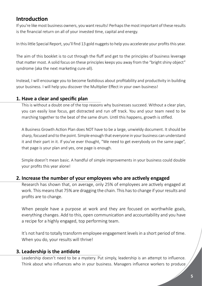### **IntroducƟ on**

If you're like most business owners, you want results! Perhaps the most important of these results is the financial return on all of your invested time, capital and energy.

In this little Special Report, you'll find 13 gold nuggets to help you accelerate your profits this year.

The aim of this booklet is to cut through the fluff and get to the principles of business leverage that matter most. A solid focus on these principles keeps you away from the "bright shiny object" syndrome (aka the next marketing cure-all).

Instead, I will encourage you to become fastidious about profitability and productivity in building your business. I will help you discover the Multiplier Effect in your own business!

### **1. Have a clear and specific plan**

This is without a doubt one of the top reasons why businesses succeed. Without a clear plan, you can easily lose focus, get distracted and run off track. You and your team need to be marching together to the beat of the same drum. Until this happens, growth is stifled.

A Business Growth Action Plan does NOT have to be a large, unwieldy document. It should be sharp, focused and to the point. Simple enough that everyone in your business can understand it and their part in it. If you've ever thought, "We need to get everybody on the same page", that page is your plan and yes, one page is enough.

Simple doesn't mean basic. A handful of simple improvements in your business could double your profits this year alone!

### **2. Increase the number of your employees who are actively engaged**

Research has shown that, on average, only 25% of employees are actively engaged at work. This means that 75% are dragging the chain. This has to change if your results and profits are to change.

When people have a purpose at work and they are focused on worthwhile goals, everything changes. Add to this, open communication and accountability and you have a recipe for a highly engaged, top performing team.

It's not hard to totally transform employee engagement levels in a short period of time. When you do, your results will thrive!

### **3. Leadership is the antidote**

Leadership doesn't need to be a mystery. Put simply, leadership is an attempt to influence. Think about who influences who in your business. Managers influence workers to produce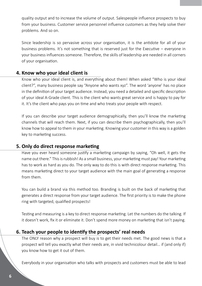quality output and to increase the volume of output. Salespeople influence prospects to buy from your business. Customer service personnel influence customers as they help solve their problems. And so on.

Since leadership is so pervasive across your organisation, it is the antidote for all of your business problems. It's not something that is reserved just for the Executive – everyone in your business influences someone. Therefore, the skills of leadership are needed in all corners of your organisation.

### **4. Know who your ideal client is**

Know who your ideal client is, and everything about them! When asked "Who is your ideal client?", many business people say "Anyone who wants xyz". The word 'anyone' has no place in the definition of your target audience. Instead, you need a detailed and specific description of your ideal A-Grade client. This is the client who wants great service and is happy to pay for it. It's the client who pays you on time and who treats your people with respect.

If you can describe your target audience demographically, then you'll know the marketing channels that will reach them. Next, if you can describe them psychographically, then you'll know how to appeal to them in your marketing. Knowing your customer in this way is a golden key to marketing success.

### **5. Only do direct response marketing**

Have you ever heard someone justify a marketing campaign by saying, "Oh well, it gets the name out there." This is rubbish! As a small business, your marketing must pay! Your marketing has to work as hard as you do. The only way to do this is with direct response marketing. This means marketing direct to your target audience with the main goal of generating a response from them.

You can build a brand via this method too. Branding is built on the back of marketing that generates a direct response from your target audience. The first priority is to make the phone ring with targeted, qualified prospects!

Testing and measuring is a key to direct response marketing. Let the numbers do the talking. If it doesn't work, fix it or eliminate it. Don't spend more money on marketing that isn't paying.

### **6. Teach your people to idenƟ fy the prospects' real needs**

The ONLY reason why a prospect will buy is to get their needs met. The good news is that a prospect will tell you exactly what their needs are, in vivid technicolour detail… if (and only if) you know how to get it out of them.

Everybody in your organisation who talks with prospects and customers must be able to lead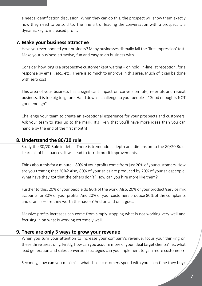a needs identification discussion. When they can do this, the prospect will show them exactly how they need to be sold to. The fine art of leading the conversation with a prospect is a dynamic key to increased profit.

### **7. Make your business attractive**

Have you ever phoned your business? Many businesses dismally fail the 'first impression' test. Make your business attractive, fun and easy to do business with.

Consider how long is a prospective customer kept waiting – on hold, in-line, at reception, for a response by email, etc., etc. There is so much to improve in this area. Much of it can be done with zero cost!

This area of your business has a significant impact on conversion rate, referrals and repeat business. It is too big to ignore. Hand down a challenge to your people – "Good enough is NOT good enough".

Challenge your team to create an exceptional experience for your prospects and customers. Ask your team to step up to the mark. It's likely that you'll have more ideas than you can handle by the end of the first month!

### **8. Understand the 80/20 rule**

Study the 80/20 Rule in detail. There is tremendous depth and dimension to the 80/20 Rule. Learn all of its nuances. It will lead to terrific profit improvements.

Think about this for a minute... 80% of your profits come from just 20% of your customers. How are you treating that 20%? Also, 80% of your sales are produced by 20% of your salespeople. What have they got that the others don't? How can you hire more like them?

Further to this, 20% of your people do 80% of the work. Also, 20% of your product/service mix accounts for 80% of your profits. And 20% of your customers produce 80% of the complaints and dramas – are they worth the hassle? And on and on it goes.

Massive profits increases can come from simply stopping what is not working very well and focusing in on what is working extremely well.

### **9. There are only 3 ways to grow your revenue**

When you turn your attention to increase your company's revenue, focus your thinking on these three areas only. Firstly, how can you acquire more of your ideal target clients? i.e., what lead generation and sales conversion strategies can you implement to gain more customers?

Secondly, how can you maximise what those customers spend with you each time they buy?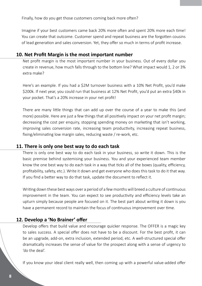Finally, how do you get those customers coming back more often?

Imagine if your best customers came back 20% more often and spent 20% more each time! You can create that outcome. Customer spend and repeat business are the forgotten cousins of lead generation and sales conversion. Yet, they offer so much in terms of profit increase.

### **10. Net Profit Margin is the most important number**

Net profit margin is the most important number in your business. Out of every dollar you create in revenue, how much falls through to the bottom line? What impact would 1, 2 or 3% extra make?

Here's an example. If you had a \$2M turnover business with a 10% Net Profit, you'd make \$200k. If next year, you could run that business at 12% Net Profit, you'd put an extra \$40k in your pocket. That's a 20% increase in your net profit!

There are many little things that can add up over the course of a year to make this (and more) possible. Here are just a few things that all positively impact on your net profit margin; decreasing the cost per enquiry, stopping spending money on marketing that isn't working, improving sales conversion rate, increasing team productivity, increasing repeat business, fixing/eliminating low margin sales, reducing waste / re-work, etc.

### **11. There is only one best way to do each task**

There is only one best way to do each task in your business, so write it down. This is the basic premise behind systemising your business. You and your experienced team member know the one best way to do each task in a way that ticks all of the boxes (quality, efficiency, profitability, safety, etc.). Write it down and get everyone who does this task to do it that way. If you find a better way to do that task, update the document to reflect it.

Writing down these best ways over a period of a few months will breed a culture of continuous improvement in the team. You can expect to see productivity and efficiency levels take an upturn simply because people are focused on it. The best part about writing it down is you have a permanent record to maintain the focus of continuous improvement over time.

### **12. Develop a 'No Brainer' offer**

Develop offers that build value and encourage quicker response. The OFFER is a magic key to sales success. A special offer does not have to be a discount. For the best profit, it can be an upgrade, add-on, extra inclusion, extended period, etc. A well-structured special offer dramatically increases the sense of value for the prospect along with a sense of urgency to 'do the deal'.

If you know your ideal client really well, then coming up with a powerful value-added offer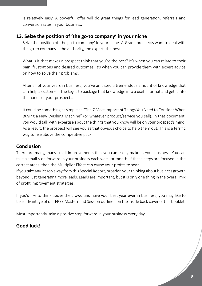is relatively easy. A powerful offer will do great things for lead generation, referrals and conversion rates in your business.

### **13. Seize the position of 'the go-to company' in your niche**

Seize the position of 'the go-to company' in your niche. A-Grade prospects want to deal with the go-to company – the authority, the expert, the best.

What is it that makes a prospect think that you're the best? It's when you can relate to their pain, frustrations and desired outcomes. It's when you can provide them with expert advice on how to solve their problems.

After all of your years in business, you've amassed a tremendous amount of knowledge that can help a customer. The key is to package that knowledge into a useful format and get it into the hands of your prospects.

It could be something as simple as "The 7 Most Important Things You Need to Consider When Buying a New Washing Machine" (or whatever product/service you sell). In that document, you would talk with expertise about the things that you know will be on your prospect's mind. As a result, the prospect will see you as that obvious choice to help them out. This is a terrific way to rise above the competitive pack.

### **Conclusion**

There are many, many small improvements that you can easily make in your business. You can take a small step forward in your business each week or month. If these steps are focused in the correct areas, then the Multiplier Effect can cause your profits to soar.

If you take any lesson away from this Special Report, broaden your thinking about business growth beyond just generating more leads. Leads are important, but it is only one thing in the overall mix of profit improvement strategies.

If you'd like to think above the crowd and have your best year ever in business, you may like to take advantage of our FREE Mastermind Session outlined on the inside back cover of this booklet.

Most importantly, take a positive step forward in your business every day.

### **Good luck!**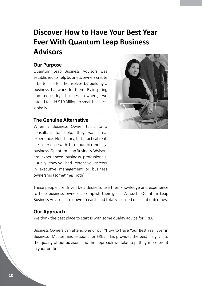# **Discover How to Have Your Best Year Ever With Quantum Leap Business Advisors**

### **Our Purpose**

Quantum Leap Business Advisors was established to help business owners create a better life for themselves by building a business that works for them. By inspiring and educating business owners, we intend to add \$10 Billion to small business globally.

### **The Genuine Alternative**

When a Business Owner turns to a consultant for help, they want real experience. Not theory, but practical reallife experience with the rigours of running a business. Quantum Leap Business Advisors are experienced business professionals. Usually they've had extensive careers in executive management or business ownership (sometimes both).



These people are driven by a desire to use their knowledge and experience to help business owners accomplish their goals. As such, Quantum Leap Business Advisors are down to earth and totally focused on client outcomes.

### **Our Approach**

We think the best place to start is with some quality advice for FREE.

Business Owners can attend one of our "How to Have Your Best Year Ever in Business" Mastermind sessions for FREE. This provides the best insight into the quality of our advisors and the approach we take to putting more profit in your pocket.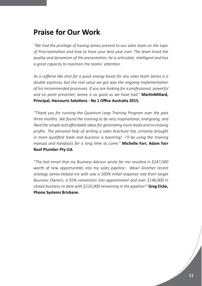## **Praise for Our Work**

*"We had the privilege of having James present to our sales team on the topic of ProcrasƟ naƟ on and how to have your best year ever. The team loved the quality and dynamism of the presentaƟ on, he is arƟ culate, intelligent and has a great capacity to maintain the teams' attention.* 

As a caffeine like shot for a quick energy boost for any sales team James is a *double espresso, but the real value we got was the ongoing implementation of his recommended processes. If you are looking for a professional, powerful*  and on point presenter, James is as good as we have had." **MartinMillard,** Principal, Harcourts Solutions - No 1 Office Australia 2015.

*"Thank you for running the Quantum Leap Training Program over the past three months. We found the training to be very inspirational, energising, and* liked the simple and affordable ideas for generating more leads and increasing profits. The personal help of writing a sales brochure has certainly brought in more qualified leads and business is booming! I'll be using the training *manual and handouts for a long Ɵ me to come."* **Michelle Farr, Adam Farr Roof Plumber Pty Ltd.**

*"The last email that my Business Advisor wrote for me resulted in \$247,000*  worth of new opportunities into my sales pipeline... Wow! Another recent *strategy James helped me with saw a 100% iniƟ al response rate from target Business Owners, a 93% conversion into appointment and over \$146,000 in closed business to date with \$220,000 remaining in the pipeline!"* **Greg Eicke, Phone Systems Brisbane.**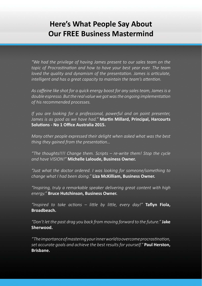# **Here's What People Say About Our FREE Business Mastermind**

*"We had the privilege of having James present to our sales team on the*  topic of Procrastination and how to have your best year ever. The team *loved the quality and dynamism of the presentation. James is articulate, intelligent and has a great capacity to maintain the team's attention.* 

As caffeine like shot for a quick energy boost for any sales team, James is a double espresso. But the real value we got was the ongoing implementation *of his recommended processes.* 

*If you are looking for a professional, powerful and on point presenter,*  James is as good as we have had." **Martin Millard, Principal, Harcourts** Solutions - No 1 Office Australia 2015.

*Many other people expressed their delight when asked what was the best thing they gained from the presentation...* 

*"The thoughts!!!! Change them. Scripts – re-write them! Stop the cycle and have VISION!"* **Michelle Laloude, Business Owner.**

*"Just what the doctor ordered. I was looking for someone/something to change what I had been doing."* **Liza McKilliam, Business Owner.**

*"Inspiring, truly a remarkable speaker delivering great content with high energy."* **Bruce Hutchinson, Business Owner.**

*"Inspired to take acƟ ons – liƩ le by liƩ le, every day!"* **Tafl yn Fiola, Broadbeach.**

*"Don't let the past drag you back from moving forward to the future."* **Jake Sherwood.**

*"The importance of mastering your inner world to overcome procrasƟ naƟ on, set accurate goals and achieve the best results for yourself."* **Paul Herston, Brisbane.**